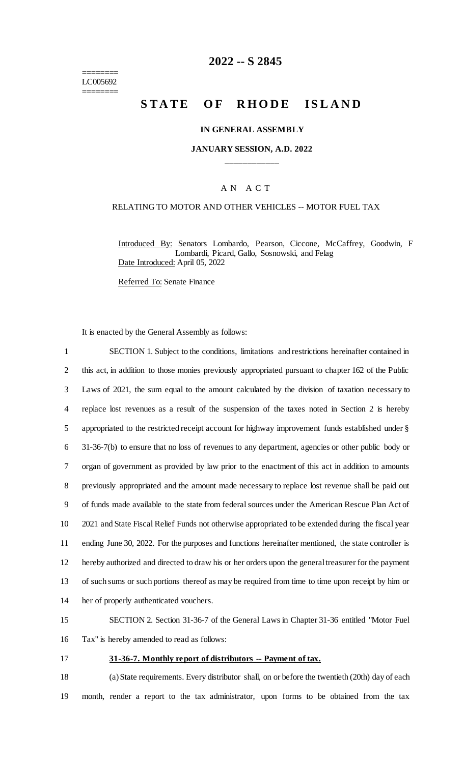======== LC005692 ========

# **2022 -- S 2845**

# **STATE OF RHODE ISLAND**

#### **IN GENERAL ASSEMBLY**

#### **JANUARY SESSION, A.D. 2022 \_\_\_\_\_\_\_\_\_\_\_\_**

#### A N A C T

#### RELATING TO MOTOR AND OTHER VEHICLES -- MOTOR FUEL TAX

Introduced By: Senators Lombardo, Pearson, Ciccone, McCaffrey, Goodwin, F Lombardi, Picard, Gallo, Sosnowski, and Felag Date Introduced: April 05, 2022

Referred To: Senate Finance

It is enacted by the General Assembly as follows:

 SECTION 1. Subject to the conditions, limitations and restrictions hereinafter contained in this act, in addition to those monies previously appropriated pursuant to chapter 162 of the Public Laws of 2021, the sum equal to the amount calculated by the division of taxation necessary to replace lost revenues as a result of the suspension of the taxes noted in Section 2 is hereby appropriated to the restricted receipt account for highway improvement funds established under § 31-36-7(b) to ensure that no loss of revenues to any department, agencies or other public body or organ of government as provided by law prior to the enactment of this act in addition to amounts previously appropriated and the amount made necessary to replace lost revenue shall be paid out of funds made available to the state from federal sources under the American Rescue Plan Act of 2021 and State Fiscal Relief Funds not otherwise appropriated to be extended during the fiscal year ending June 30, 2022. For the purposes and functions hereinafter mentioned, the state controller is hereby authorized and directed to draw his or her orders upon the general treasurer for the payment of such sums or such portions thereof as may be required from time to time upon receipt by him or her of properly authenticated vouchers.

15 SECTION 2. Section 31-36-7 of the General Laws in Chapter 31-36 entitled "Motor Fuel 16 Tax" is hereby amended to read as follows:

#### 17 **31-36-7. Monthly report of distributors -- Payment of tax.**

18 (a) State requirements. Every distributor shall, on or before the twentieth (20th) day of each 19 month, render a report to the tax administrator, upon forms to be obtained from the tax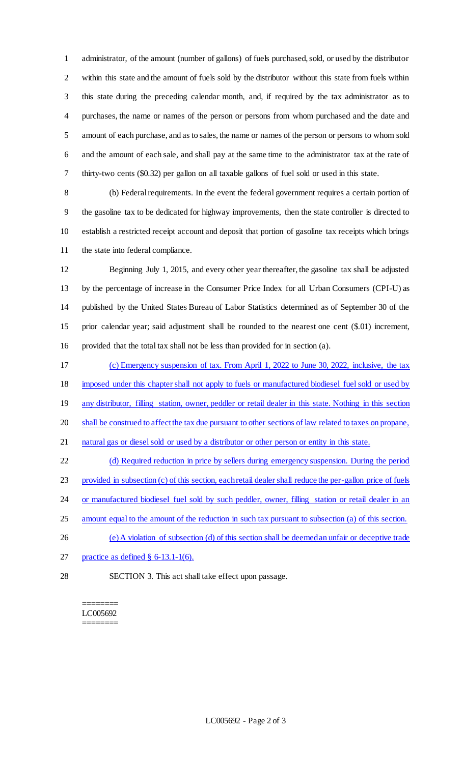administrator, of the amount (number of gallons) of fuels purchased, sold, or used by the distributor within this state and the amount of fuels sold by the distributor without this state from fuels within this state during the preceding calendar month, and, if required by the tax administrator as to purchases, the name or names of the person or persons from whom purchased and the date and amount of each purchase, and as to sales, the name or names of the person or persons to whom sold and the amount of each sale, and shall pay at the same time to the administrator tax at the rate of thirty-two cents (\$0.32) per gallon on all taxable gallons of fuel sold or used in this state.

 (b) Federal requirements. In the event the federal government requires a certain portion of the gasoline tax to be dedicated for highway improvements, then the state controller is directed to establish a restricted receipt account and deposit that portion of gasoline tax receipts which brings the state into federal compliance.

 Beginning July 1, 2015, and every other year thereafter, the gasoline tax shall be adjusted by the percentage of increase in the Consumer Price Index for all Urban Consumers (CPI-U) as published by the United States Bureau of Labor Statistics determined as of September 30 of the prior calendar year; said adjustment shall be rounded to the nearest one cent (\$.01) increment, provided that the total tax shall not be less than provided for in section (a).

 (c) Emergency suspension of tax. From April 1, 2022 to June 30, 2022, inclusive, the tax imposed under this chapter shall not apply to fuels or manufactured biodiesel fuel sold or used by 19 any distributor, filling station, owner, peddler or retail dealer in this state. Nothing in this section 20 shall be construed to affect the tax due pursuant to other sections of law related to taxes on propane, natural gas or diesel sold or used by a distributor or other person or entity in this state. (d) Required reduction in price by sellers during emergency suspension. During the period

provided in subsection (c) of this section, each retail dealer shall reduce the per-gallon price of fuels

24 or manufactured biodiesel fuel sold by such peddler, owner, filling station or retail dealer in an

- amount equal to the amount of the reduction in such tax pursuant to subsection (a) of this section.
- (e) A violation of subsection (d) of this section shall be deemed an unfair or deceptive trade
- 27 practice as defined  $\S$  6-13.1-1(6).
- 

SECTION 3. This act shall take effect upon passage.

======== LC005692 ========